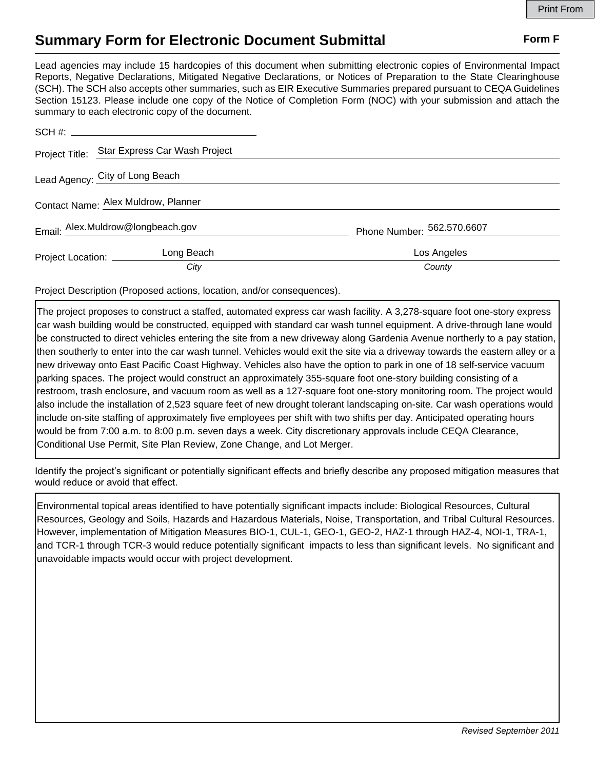## **Summary Form for Electronic Document Submittal Form F Form F**

Lead agencies may include 15 hardcopies of this document when submitting electronic copies of Environmental Impact Reports, Negative Declarations, Mitigated Negative Declarations, or Notices of Preparation to the State Clearinghouse (SCH). The SCH also accepts other summaries, such as EIR Executive Summaries prepared pursuant to CEQA Guidelines Section 15123. Please include one copy of the Notice of Completion Form (NOC) with your submission and attach the summary to each electronic copy of the document.

|                                     | Project Title: Star Express Car Wash Project |                            |
|-------------------------------------|----------------------------------------------|----------------------------|
| Lead Agency: City of Long Beach     |                                              |                            |
| Contact Name: Alex Muldrow, Planner |                                              |                            |
|                                     | Email: Alex.Muldrow@longbeach.gov            | Phone Number: 562.570.6607 |
| Project Location: _______           | Long Beach                                   | Los Angeles                |
|                                     | City                                         | County                     |

Project Description (Proposed actions, location, and/or consequences).

The project proposes to construct a staffed, automated express car wash facility. A 3,278-square foot one-story express car wash building would be constructed, equipped with standard car wash tunnel equipment. A drive-through lane would be constructed to direct vehicles entering the site from a new driveway along Gardenia Avenue northerly to a pay station, then southerly to enter into the car wash tunnel. Vehicles would exit the site via a driveway towards the eastern alley or a new driveway onto East Pacific Coast Highway. Vehicles also have the option to park in one of 18 self-service vacuum parking spaces. The project would construct an approximately 355-square foot one-story building consisting of a restroom, trash enclosure, and vacuum room as well as a 127-square foot one-story monitoring room. The project would also include the installation of 2,523 square feet of new drought tolerant landscaping on-site. Car wash operations would include on-site staffing of approximately five employees per shift with two shifts per day. Anticipated operating hours would be from 7:00 a.m. to 8:00 p.m. seven days a week. City discretionary approvals include CEQA Clearance, Conditional Use Permit, Site Plan Review, Zone Change, and Lot Merger.

Identify the project's significant or potentially significant effects and briefly describe any proposed mitigation measures that would reduce or avoid that effect.

Environmental topical areas identified to have potentially significant impacts include: Biological Resources, Cultural Resources, Geology and Soils, Hazards and Hazardous Materials, Noise, Transportation, and Tribal Cultural Resources. However, implementation of Mitigation Measures BIO-1, CUL-1, GEO-1, GEO-2, HAZ-1 through HAZ-4, NOI-1, TRA-1, and TCR-1 through TCR-3 would reduce potentially significant impacts to less than significant levels. No significant and unavoidable impacts would occur with project development.